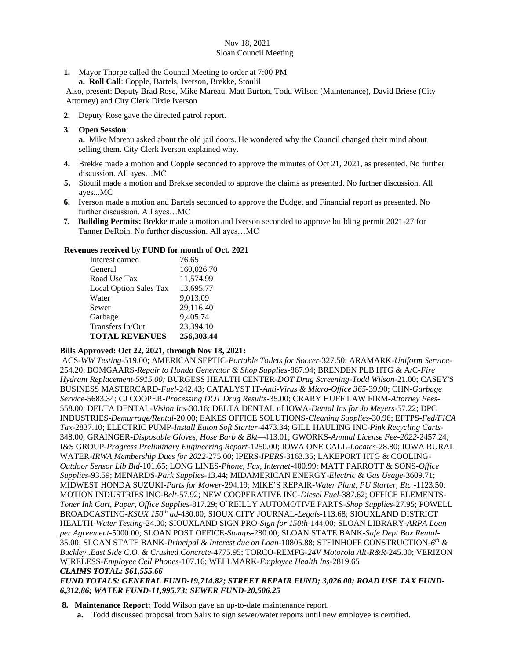#### Nov 18, 2021 Sloan Council Meeting

**1.** Mayor Thorpe called the Council Meeting to order at 7:00 PM

 **a. Roll Call**: Copple, Bartels, Iverson, Brekke, Stoulil

Also, present: Deputy Brad Rose, Mike Mareau, Matt Burton, Todd Wilson (Maintenance), David Briese (City Attorney) and City Clerk Dixie Iverson

- **2.** Deputy Rose gave the directed patrol report.
- **3. Open Session**:

**a.** Mike Mareau asked about the old jail doors. He wondered why the Council changed their mind about selling them. City Clerk Iverson explained why.

- **4.** Brekke made a motion and Copple seconded to approve the minutes of Oct 21, 2021, as presented. No further discussion. All ayes…MC
- **5.** Stoulil made a motion and Brekke seconded to approve the claims as presented. No further discussion. All ayes...MC
- **6.** Iverson made a motion and Bartels seconded to approve the Budget and Financial report as presented. No further discussion. All ayes…MC
- **7. Building Permits:** Brekke made a motion and Iverson seconded to approve building permit 2021-27 for Tanner DeRoin. No further discussion. All ayes…MC

#### **Revenues received by FUND for month of Oct. 2021**

| Interest earned               | 76.65      |
|-------------------------------|------------|
| General                       | 160,026.70 |
| Road Use Tax                  | 11,574.99  |
| <b>Local Option Sales Tax</b> | 13,695.77  |
| Water                         | 9,013.09   |
| Sewer                         | 29,116.40  |
| Garbage                       | 9,405.74   |
| Transfers In/Out              | 23,394.10  |
| <b>TOTAL REVENUES</b>         | 256,303.44 |

### **Bills Approved: Oct 22, 2021, through Nov 18, 2021:**

ACS-*WW Testing-*519.00; AMERICAN SEPTIC-*Portable Toilets for Soccer-*327.50; ARAMARK-*Uniform Service-*254.20; BOMGAARS-*Repair to Honda Generator & Shop Supplies-*867.94; BRENDEN PLB HTG & A/C-*Fire Hydrant Replacement-5915.00;* BURGESS HEALTH CENTER-*DOT Drug Screening-Todd Wilson-*21.00; CASEY'S BUSINESS MASTERCARD-*Fuel-*242.43; CATALYST IT-*Anti-Virus & Micro-Office 365-*39.90; CHN-*Garbage Service-*5683.34; CJ COOPER-*Processing DOT Drug Results-*35.00; CRARY HUFF LAW FIRM-*Attorney Fees-*558.00; DELTA DENTAL-*Vision Ins-*30.16; DELTA DENTAL of IOWA-*Dental Ins for Jo Meyers-*57.22; DPC INDUSTRIES-*Demurrage/Rental-*20.00; EAKES OFFICE SOLUTIONS-*Cleaning Supplies-*30.96; EFTPS-*Fed/FICA Tax*-2837.10; ELECTRIC PUMP-*Install Eaton Soft Starter-*4473.34; GILL HAULING INC-*Pink Recycling Carts-*348.00; GRAINGER-*Disposable Gloves, Hose Barb & Bkt—*413.01; GWORKS-*Annual License Fee-2022-*2457.24; I&S GROUP-*Progress Preliminary Engineering Report-*1250.00; IOWA ONE CALL-*Locates-*28.80; IOWA RURAL WATER-*IRWA Membership Dues for 2022-*275.00; IPERS-*IPERS-*3163.35; LAKEPORT HTG & COOLING-*Outdoor Sensor Lib Bld*-101.65; LONG LINES-*Phone, Fax, Internet*-400.99; MATT PARROTT & SONS-*Office Supplies-*93.59; MENARDS*-Park Supplies-*13.44; MIDAMERICAN ENERGY-*Electric & Gas Usage*-3609.71; MIDWEST HONDA SUZUKI-*Parts for Mower-*294.19; MIKE'S REPAIR-*Water Plant, PU Starter, Etc.-*1123.50; MOTION INDUSTRIES INC-*Belt-*57.92; NEW COOPERATIVE INC-*Diesel Fuel-*387.62; OFFICE ELEMENTS-*Toner Ink Cart, Paper, Office Supplies-*817.29; O'REILLY AUTOMOTIVE PARTS-*Shop Supplies-*27.95; POWELL BROADCASTING-*KSUX 150th ad-*430.00; SIOUX CITY JOURNAL-*Legals-*113.68; SIOUXLAND DISTRICT HEALTH-*Water Testing*-24.00; SIOUXLAND SIGN PRO-*Sign for 150th-*144.00; SLOAN LIBRARY-*ARPA Loan per Agreement-*5000.00; SLOAN POST OFFICE-*Stamps-*280.00; SLOAN STATE BANK-*Safe Dept Box Rental-*35.00; SLOAN STATE BANK-*Principal & Interest due on Loan-*10805.88; STEINHOFF CONSTRUCTION-*6 th & Buckley..East Side C.O. & Crushed Concrete-*4775.95; TORCO-REMFG-*24V Motorola Alt-R&R-*245.00; VERIZON WIRELESS-*Employee Cell Phones-*107.16; WELLMARK-*Employee Health Ins-*2819.65

# *CLAIMS TOTAL: \$61,555.66*

*FUND TOTALS: GENERAL FUND-19,714.82; STREET REPAIR FUND; 3,026.00; ROAD USE TAX FUND-6,312.86; WATER FUND-11,995.73; SEWER FUND-20,506.25*

**8. Maintenance Report:** Todd Wilson gave an up-to-date maintenance report.

**a.** Todd discussed proposal from Salix to sign sewer/water reports until new employee is certified.